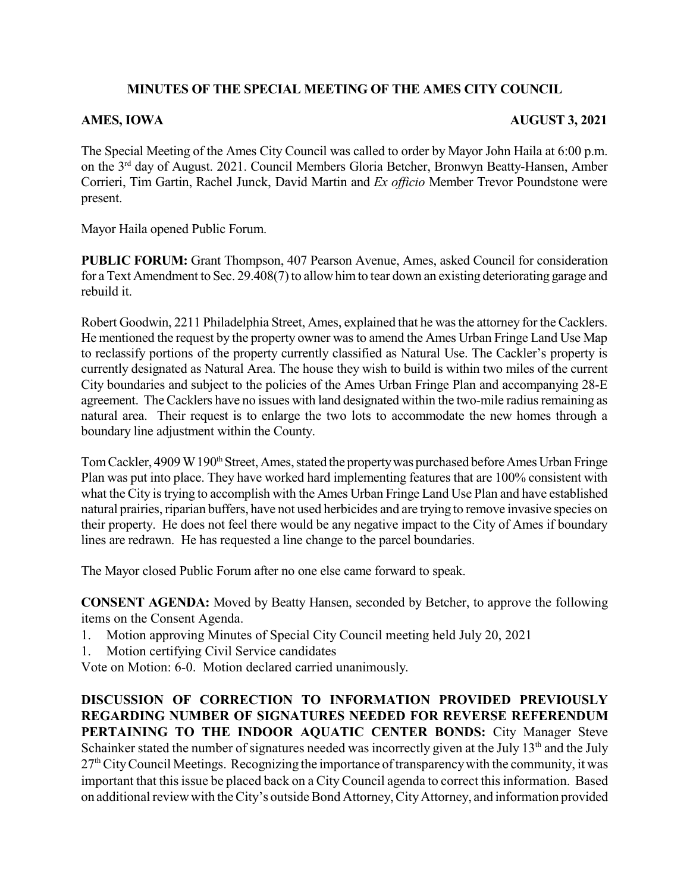## **MINUTES OF THE SPECIAL MEETING OF THE AMES CITY COUNCIL**

## **AMES, IOWA AUGUST 3, 2021**

The Special Meeting of the Ames City Council was called to order by Mayor John Haila at 6:00 p.m. on the 3<sup>rd</sup> day of August. 2021. Council Members Gloria Betcher, Bronwyn Beatty-Hansen, Amber Corrieri, Tim Gartin, Rachel Junck, David Martin and *Ex officio* Member Trevor Poundstone were present.

Mayor Haila opened Public Forum.

**PUBLIC FORUM:** Grant Thompson, 407 Pearson Avenue, Ames, asked Council for consideration for a Text Amendment to Sec. 29.408(7) to allow him to tear down an existing deteriorating garage and rebuild it.

Robert Goodwin, 2211 Philadelphia Street, Ames, explained that he was the attorney for the Cacklers. He mentioned the request by the property owner wasto amend the Ames Urban Fringe Land Use Map to reclassify portions of the property currently classified as Natural Use. The Cackler's property is currently designated as Natural Area. The house they wish to build is within two miles of the current City boundaries and subject to the policies of the Ames Urban Fringe Plan and accompanying 28-E agreement. The Cacklers have no issues with land designated within the two-mile radiusremaining as natural area. Their request is to enlarge the two lots to accommodate the new homes through a boundary line adjustment within the County.

Tom Cackler, 4909 W 190<sup>th</sup> Street, Ames, stated the property was purchased before Ames Urban Fringe Plan was put into place. They have worked hard implementing features that are 100% consistent with what the City is trying to accomplish with the Ames Urban Fringe Land Use Plan and have established natural prairies, riparian buffers, have not used herbicides and are trying to remove invasive species on their property. He does not feel there would be any negative impact to the City of Ames if boundary lines are redrawn. He has requested a line change to the parcel boundaries.

The Mayor closed Public Forum after no one else came forward to speak.

**CONSENT AGENDA:** Moved by Beatty Hansen, seconded by Betcher, to approve the following items on the Consent Agenda.

- 1. Motion approving Minutes of Special City Council meeting held July 20, 2021
- 1. Motion certifying Civil Service candidates

Vote on Motion: 6-0. Motion declared carried unanimously.

**DISCUSSION OF CORRECTION TO INFORMATION PROVIDED PREVIOUSLY REGARDING NUMBER OF SIGNATURES NEEDED FOR REVERSE REFERENDUM PERTAINING TO THE INDOOR AQUATIC CENTER BONDS:** City Manager Steve Schainker stated the number of signatures needed was incorrectly given at the July  $13<sup>th</sup>$  and the July  $27<sup>th</sup>$  City Council Meetings. Recognizing the importance of transparency with the community, it was important that this issue be placed back on a City Council agenda to correct this information. Based on additional review with the City's outside Bond Attorney, CityAttorney, and information provided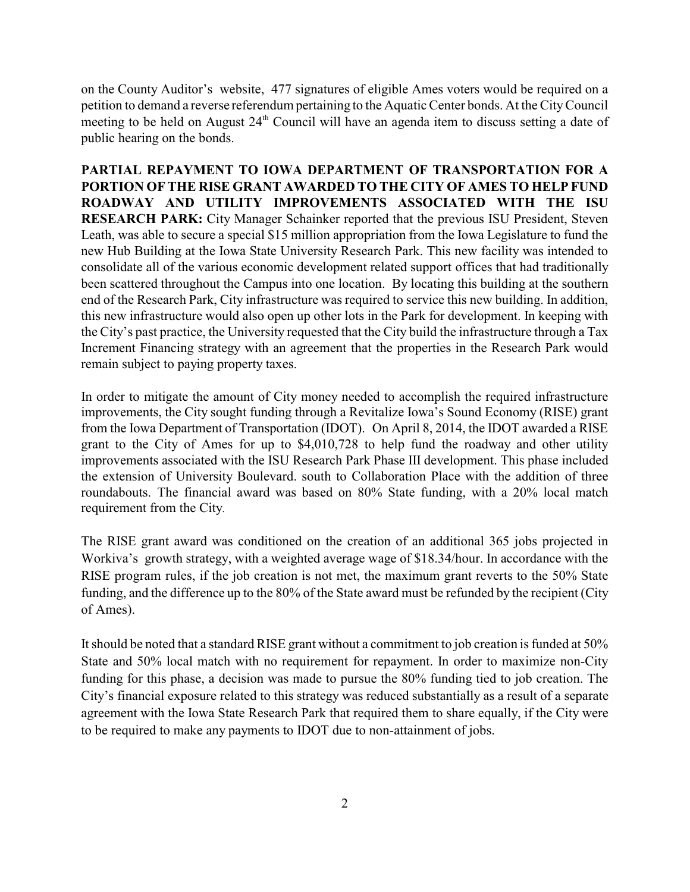on the County Auditor's website, 477 signatures of eligible Ames voters would be required on a petition to demand a reverse referendum pertaining to the Aquatic Center bonds. At the CityCouncil meeting to be held on August 24<sup>th</sup> Council will have an agenda item to discuss setting a date of public hearing on the bonds.

**PARTIAL REPAYMENT TO IOWA DEPARTMENT OF TRANSPORTATION FOR A PORTION OFTHE RISE GRANT AWARDED TO THE CITY OF AMES TO HELP FUND ROADWAY AND UTILITY IMPROVEMENTS ASSOCIATED WITH THE ISU RESEARCH PARK:** City Manager Schainker reported that the previous ISU President, Steven Leath, was able to secure a special \$15 million appropriation from the Iowa Legislature to fund the new Hub Building at the Iowa State University Research Park. This new facility was intended to consolidate all of the various economic development related support offices that had traditionally been scattered throughout the Campus into one location. By locating this building at the southern end of the Research Park, City infrastructure was required to service this new building. In addition, this new infrastructure would also open up other lots in the Park for development. In keeping with the City's past practice, the University requested that the City build the infrastructure through a Tax Increment Financing strategy with an agreement that the properties in the Research Park would remain subject to paying property taxes.

In order to mitigate the amount of City money needed to accomplish the required infrastructure improvements, the City sought funding through a Revitalize Iowa's Sound Economy (RISE) grant from the Iowa Department of Transportation (IDOT). On April 8, 2014, the IDOT awarded a RISE grant to the City of Ames for up to \$4,010,728 to help fund the roadway and other utility improvements associated with the ISU Research Park Phase III development. This phase included the extension of University Boulevard. south to Collaboration Place with the addition of three roundabouts. The financial award was based on 80% State funding, with a 20% local match requirement from the City.

The RISE grant award was conditioned on the creation of an additional 365 jobs projected in Workiva's growth strategy, with a weighted average wage of \$18.34/hour. In accordance with the RISE program rules, if the job creation is not met, the maximum grant reverts to the 50% State funding, and the difference up to the 80% of the State award must be refunded by the recipient (City of Ames).

It should be noted that a standard RISE grant without a commitment to job creation is funded at 50% State and 50% local match with no requirement for repayment. In order to maximize non-City funding for this phase, a decision was made to pursue the 80% funding tied to job creation. The City's financial exposure related to this strategy was reduced substantially as a result of a separate agreement with the Iowa State Research Park that required them to share equally, if the City were to be required to make any payments to IDOT due to non-attainment of jobs.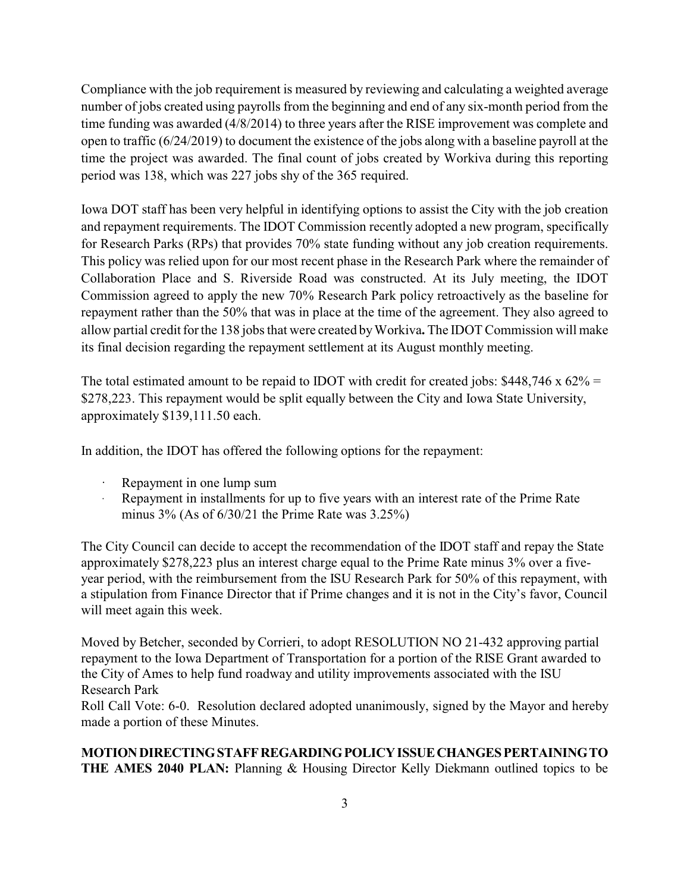Compliance with the job requirement is measured by reviewing and calculating a weighted average number of jobs created using payrolls from the beginning and end of any six-month period from the time funding was awarded (4/8/2014) to three years after the RISE improvement was complete and open to traffic (6/24/2019) to document the existence of the jobs along with a baseline payroll at the time the project was awarded. The final count of jobs created by Workiva during this reporting period was 138, which was 227 jobs shy of the 365 required.

Iowa DOT staff has been very helpful in identifying options to assist the City with the job creation and repayment requirements. The IDOT Commission recently adopted a new program, specifically for Research Parks (RPs) that provides 70% state funding without any job creation requirements. This policy was relied upon for our most recent phase in the Research Park where the remainder of Collaboration Place and S. Riverside Road was constructed. At its July meeting, the IDOT Commission agreed to apply the new 70% Research Park policy retroactively as the baseline for repayment rather than the 50% that was in place at the time of the agreement. They also agreed to allow partial credit for the 138 jobs that were created byWorkiva**.** The IDOT Commission will make its final decision regarding the repayment settlement at its August monthly meeting.

The total estimated amount to be repaid to IDOT with credit for created jobs:  $$448,746 \times 62\% =$ \$278,223. This repayment would be split equally between the City and Iowa State University, approximately \$139,111.50 each.

In addition, the IDOT has offered the following options for the repayment:

- Repayment in one lump sum
- Repayment in installments for up to five years with an interest rate of the Prime Rate minus 3% (As of 6/30/21 the Prime Rate was 3.25%)

The City Council can decide to accept the recommendation of the IDOT staff and repay the State approximately \$278,223 plus an interest charge equal to the Prime Rate minus 3% over a fiveyear period, with the reimbursement from the ISU Research Park for 50% of this repayment, with a stipulation from Finance Director that if Prime changes and it is not in the City's favor, Council will meet again this week.

Moved by Betcher, seconded by Corrieri, to adopt RESOLUTION NO 21-432 approving partial repayment to the Iowa Department of Transportation for a portion of the RISE Grant awarded to the City of Ames to help fund roadway and utility improvements associated with the ISU Research Park

Roll Call Vote: 6-0. Resolution declared adopted unanimously, signed by the Mayor and hereby made a portion of these Minutes.

## **MOTIONDIRECTINGSTAFFREGARDINGPOLICYISSUECHANGESPERTAININGTO THE AMES 2040 PLAN:** Planning & Housing Director Kelly Diekmann outlined topics to be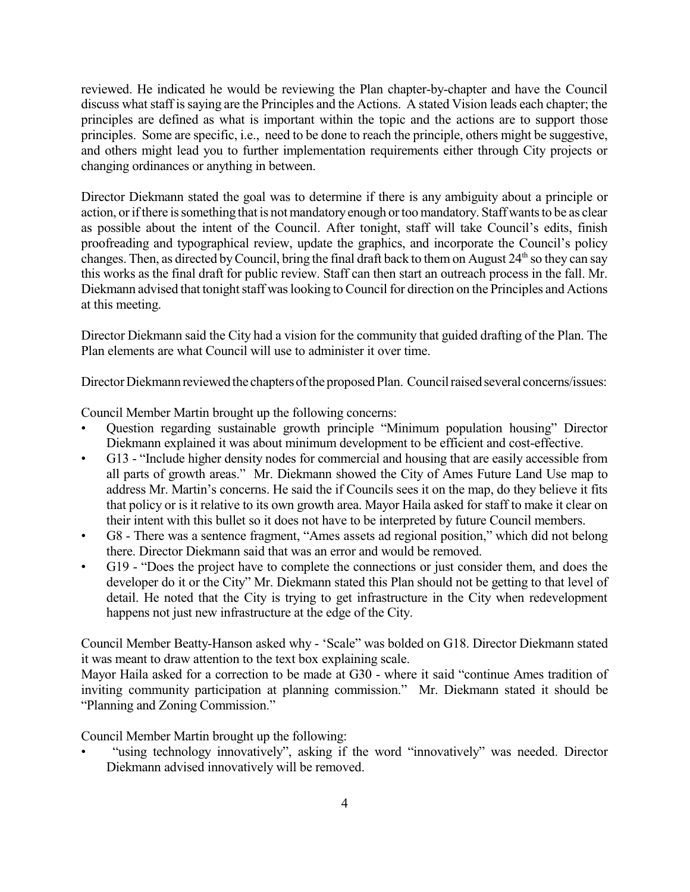reviewed. He indicated he would be reviewing the Plan chapter-by-chapter and have the Council discuss what staff is saying are the Principles and the Actions. A stated Vision leads each chapter; the principles are defined as what is important within the topic and the actions are to support those principles. Some are specific, i.e., need to be done to reach the principle, others might be suggestive, and others might lead you to further implementation requirements either through City projects or changing ordinances or anything in between.

Director Diekmann stated the goal was to determine if there is any ambiguity about a principle or action, or if there is something that is not mandatory enough or too mandatory. Staff wants to be as clear as possible about the intent of the Council. After tonight, staff will take Council's edits, finish proofreading and typographical review, update the graphics, and incorporate the Council's policy changes. Then, as directed by Council, bring the final draft back to them on August  $24^{\text{th}}$  so they can say this works as the final draft for public review. Staff can then start an outreach process in the fall. Mr. Diekmann advised that tonight staff was looking to Council for direction on the Principles and Actions at this meeting.

Director Diekmann said the City had a vision for the community that guided drafting of the Plan. The Plan elements are what Council will use to administer it over time.

Director Diekmann reviewed the chapters of the proposed Plan. Council raised several concerns/issues:

Council Member Martin brought up the following concerns:

- Question regarding sustainable growth principle "Minimum population housing" Director Diekmann explained it was about minimum development to be efficient and cost-effective.
- G13 "Include higher density nodes for commercial and housing that are easily accessible from all parts of growth areas." Mr. Diekmann showed the City of Ames Future Land Use map to address Mr. Martin's concerns. He said the if Councils sees it on the map, do they believe it fits that policy or is it relative to its own growth area. Mayor Haila asked for staff to make it clear on their intent with this bullet so it does not have to be interpreted by future Council members.
- G8 There was a sentence fragment, "Ames assets ad regional position," which did not belong there. Director Diekmann said that was an error and would be removed.
- G19 "Does the project have to complete the connections or just consider them, and does the developer do it or the City" Mr. Diekmann stated this Plan should not be getting to that level of detail. He noted that the City is trying to get infrastructure in the City when redevelopment happens not just new infrastructure at the edge of the City.

Council Member Beatty-Hanson asked why - 'Scale" was bolded on G18. Director Diekmann stated it was meant to draw attention to the text box explaining scale.

Mayor Haila asked for a correction to be made at G30 - where it said "continue Ames tradition of inviting community participation at planning commission." Mr. Diekmann stated it should be "Planning and Zoning Commission."

Council Member Martin brought up the following:

• "using technology innovatively", asking if the word "innovatively" was needed. Director Diekmann advised innovatively will be removed.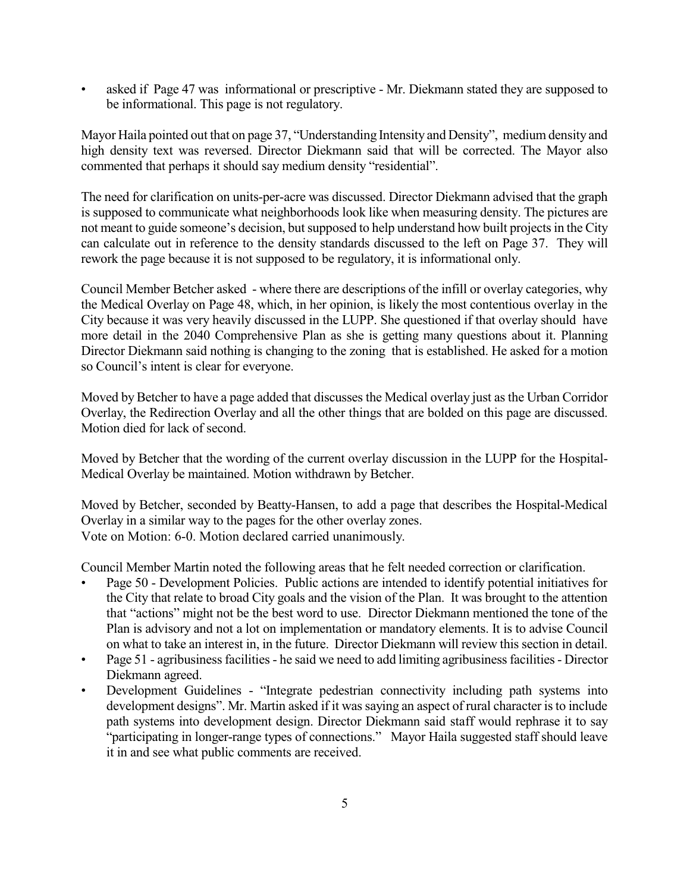asked if Page 47 was informational or prescriptive - Mr. Diekmann stated they are supposed to be informational. This page is not regulatory.

Mayor Haila pointed out that on page 37, "Understanding Intensity and Density", mediumdensity and high density text was reversed. Director Diekmann said that will be corrected. The Mayor also commented that perhaps it should say medium density "residential".

The need for clarification on units-per-acre was discussed. Director Diekmann advised that the graph is supposed to communicate what neighborhoods look like when measuring density. The pictures are not meant to guide someone's decision, but supposed to help understand how built projects in the City can calculate out in reference to the density standards discussed to the left on Page 37. They will rework the page because it is not supposed to be regulatory, it is informational only.

Council Member Betcher asked - where there are descriptions of the infill or overlay categories, why the Medical Overlay on Page 48, which, in her opinion, is likely the most contentious overlay in the City because it was very heavily discussed in the LUPP. She questioned if that overlay should have more detail in the 2040 Comprehensive Plan as she is getting many questions about it. Planning Director Diekmann said nothing is changing to the zoning that is established. He asked for a motion so Council's intent is clear for everyone.

Moved by Betcher to have a page added that discusses the Medical overlay just as the Urban Corridor Overlay, the Redirection Overlay and all the other things that are bolded on this page are discussed. Motion died for lack of second.

Moved by Betcher that the wording of the current overlay discussion in the LUPP for the Hospital-Medical Overlay be maintained. Motion withdrawn by Betcher.

Moved by Betcher, seconded by Beatty-Hansen, to add a page that describes the Hospital-Medical Overlay in a similar way to the pages for the other overlay zones. Vote on Motion: 6-0. Motion declared carried unanimously.

Council Member Martin noted the following areas that he felt needed correction or clarification.

- Page 50 Development Policies. Public actions are intended to identify potential initiatives for the City that relate to broad City goals and the vision of the Plan. It was brought to the attention that "actions" might not be the best word to use. Director Diekmann mentioned the tone of the Plan is advisory and not a lot on implementation or mandatory elements. It is to advise Council on what to take an interest in, in the future. Director Diekmann will review this section in detail.
- Page 51 agribusiness facilities he said we need to add limiting agribusiness facilities Director Diekmann agreed.
- Development Guidelines "Integrate pedestrian connectivity including path systems into development designs". Mr. Martin asked if it was saying an aspect of rural character is to include path systems into development design. Director Diekmann said staff would rephrase it to say "participating in longer-range types of connections." Mayor Haila suggested staff should leave it in and see what public comments are received.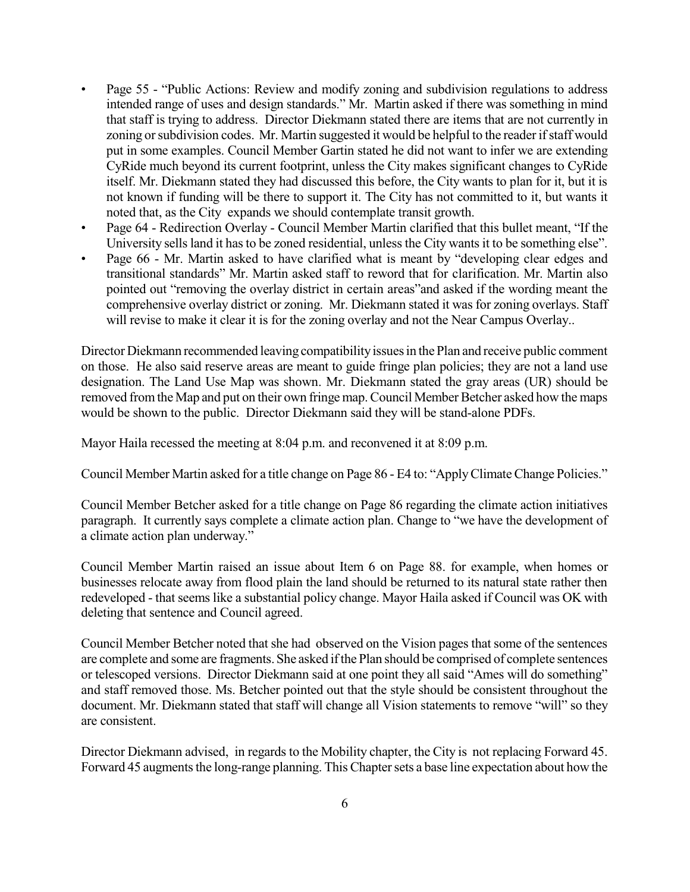- Page 55 "Public Actions: Review and modify zoning and subdivision regulations to address intended range of uses and design standards." Mr. Martin asked if there was something in mind that staff is trying to address. Director Diekmann stated there are items that are not currently in zoning or subdivision codes. Mr. Martin suggested it would be helpful to the reader if staff would put in some examples. Council Member Gartin stated he did not want to infer we are extending CyRide much beyond its current footprint, unless the City makes significant changes to CyRide itself. Mr. Diekmann stated they had discussed this before, the City wants to plan for it, but it is not known if funding will be there to support it. The City has not committed to it, but wants it noted that, as the City expands we should contemplate transit growth.
- Page 64 Redirection Overlay Council Member Martin clarified that this bullet meant, "If the University sells land it has to be zoned residential, unless the City wants it to be something else".
- Page 66 Mr. Martin asked to have clarified what is meant by "developing clear edges and transitional standards" Mr. Martin asked staff to reword that for clarification. Mr. Martin also pointed out "removing the overlay district in certain areas"and asked if the wording meant the comprehensive overlay district or zoning. Mr. Diekmann stated it was for zoning overlays. Staff will revise to make it clear it is for the zoning overlay and not the Near Campus Overlay..

Director Diekmann recommended leaving compatibility issues in the Plan and receive public comment on those. He also said reserve areas are meant to guide fringe plan policies; they are not a land use designation. The Land Use Map was shown. Mr. Diekmann stated the gray areas (UR) should be removed from the Map and put on their own fringe map. Council Member Betcher asked how the maps would be shown to the public. Director Diekmann said they will be stand-alone PDFs.

Mayor Haila recessed the meeting at 8:04 p.m. and reconvened it at 8:09 p.m.

Council Member Martin asked for a title change on Page 86 - E4 to: "ApplyClimateChange Policies."

Council Member Betcher asked for a title change on Page 86 regarding the climate action initiatives paragraph. It currently says complete a climate action plan. Change to "we have the development of a climate action plan underway."

Council Member Martin raised an issue about Item 6 on Page 88. for example, when homes or businesses relocate away from flood plain the land should be returned to its natural state rather then redeveloped - that seems like a substantial policy change. Mayor Haila asked if Council was OK with deleting that sentence and Council agreed.

Council Member Betcher noted that she had observed on the Vision pages that some of the sentences are complete and some are fragments. She asked ifthe Plan should be comprised of complete sentences or telescoped versions. Director Diekmann said at one point they all said "Ames will do something" and staff removed those. Ms. Betcher pointed out that the style should be consistent throughout the document. Mr. Diekmann stated that staff will change all Vision statements to remove "will" so they are consistent.

Director Diekmann advised, in regards to the Mobility chapter, the City is not replacing Forward 45. Forward 45 augments the long-range planning. This Chapter sets a base line expectation about how the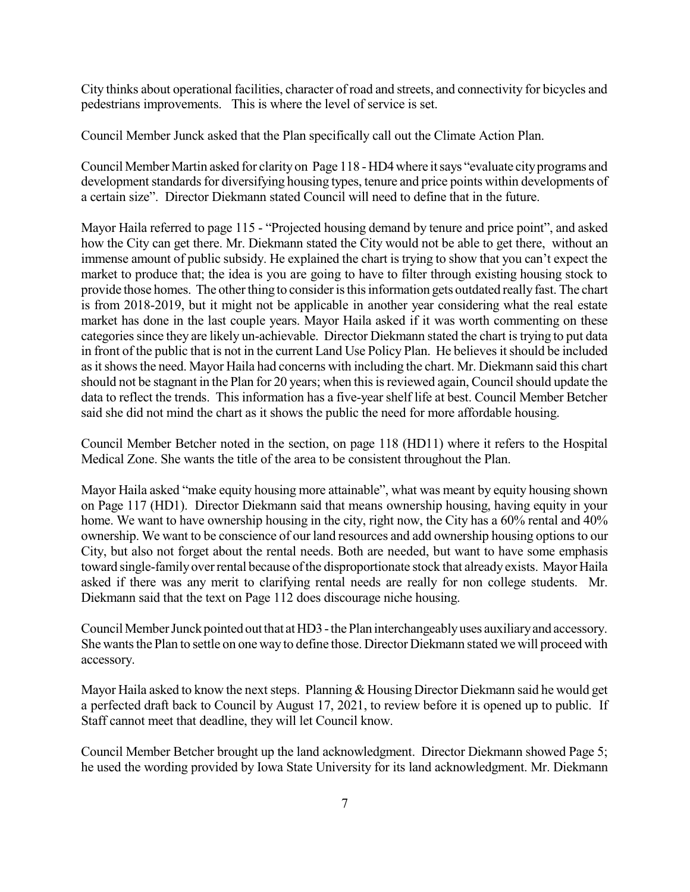City thinks about operational facilities, character of road and streets, and connectivity for bicycles and pedestrians improvements. This is where the level of service is set.

Council Member Junck asked that the Plan specifically call out the Climate Action Plan.

Council Member Martin asked for clarity on Page 118 - HD4 where itsays "evaluate cityprograms and development standards for diversifying housing types, tenure and price points within developments of a certain size". Director Diekmann stated Council will need to define that in the future.

Mayor Haila referred to page 115 - "Projected housing demand by tenure and price point", and asked how the City can get there. Mr. Diekmann stated the City would not be able to get there, without an immense amount of public subsidy. He explained the chart is trying to show that you can't expect the market to produce that; the idea is you are going to have to filter through existing housing stock to provide those homes. The other thing to consider is this information gets outdated really fast. The chart is from 2018-2019, but it might not be applicable in another year considering what the real estate market has done in the last couple years. Mayor Haila asked if it was worth commenting on these categories since they are likely un-achievable. Director Diekmann stated the chart is trying to put data in front of the public that is not in the current Land Use Policy Plan. He believes it should be included as it shows the need. Mayor Haila had concerns with including the chart. Mr. Diekmann said this chart should not be stagnant in the Plan for 20 years; when this is reviewed again, Council should update the data to reflect the trends. This information has a five-year shelf life at best. Council Member Betcher said she did not mind the chart as it shows the public the need for more affordable housing.

Council Member Betcher noted in the section, on page 118 (HD11) where it refers to the Hospital Medical Zone. She wants the title of the area to be consistent throughout the Plan.

Mayor Haila asked "make equity housing more attainable", what was meant by equity housing shown on Page 117 (HD1). Director Diekmann said that means ownership housing, having equity in your home. We want to have ownership housing in the city, right now, the City has a 60% rental and 40% ownership. We want to be conscience of our land resources and add ownership housing optionsto our City, but also not forget about the rental needs. Both are needed, but want to have some emphasis toward single-family over rental because of the disproportionate stock that already exists. Mayor Haila asked if there was any merit to clarifying rental needs are really for non college students. Mr. Diekmann said that the text on Page 112 does discourage niche housing.

Council Member Junck pointed out that at HD3 - the Plan interchangeably uses auxiliary and accessory. She wants the Plan to settle on one way to define those. Director Diekmann stated we will proceed with accessory.

Mayor Haila asked to know the next steps. Planning  $&$  Housing Director Diekmann said he would get a perfected draft back to Council by August 17, 2021, to review before it is opened up to public. If Staff cannot meet that deadline, they will let Council know.

Council Member Betcher brought up the land acknowledgment. Director Diekmann showed Page 5; he used the wording provided by Iowa State University for its land acknowledgment. Mr. Diekmann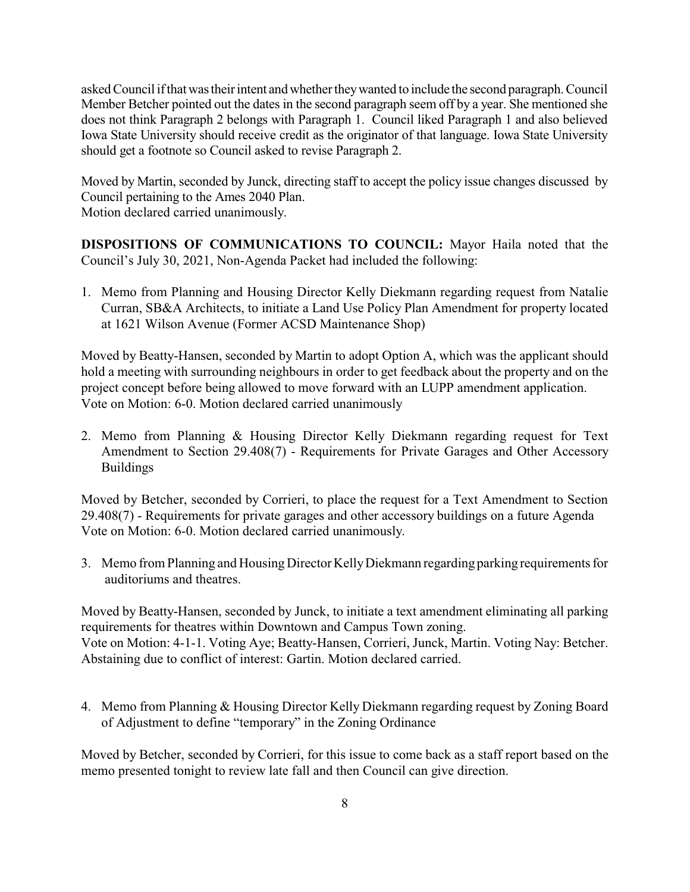askedCouncil ifthatwastheirintent andwhethertheywanted to include the second paragraph.Council Member Betcher pointed out the dates in the second paragraph seem off by a year. She mentioned she does not think Paragraph 2 belongs with Paragraph 1. Council liked Paragraph 1 and also believed Iowa State University should receive credit as the originator of that language. Iowa State University should get a footnote so Council asked to revise Paragraph 2.

Moved by Martin, seconded by Junck, directing staff to accept the policy issue changes discussed by Council pertaining to the Ames 2040 Plan. Motion declared carried unanimously.

**DISPOSITIONS OF COMMUNICATIONS TO COUNCIL:** Mayor Haila noted that the Council's July 30, 2021, Non-Agenda Packet had included the following:

1. Memo from Planning and Housing Director Kelly Diekmann regarding request from Natalie Curran, SB&A Architects, to initiate a Land Use Policy Plan Amendment for property located at 1621 Wilson Avenue (Former ACSD Maintenance Shop)

Moved by Beatty-Hansen, seconded by Martin to adopt Option A, which was the applicant should hold a meeting with surrounding neighbours in order to get feedback about the property and on the project concept before being allowed to move forward with an LUPP amendment application. Vote on Motion: 6-0. Motion declared carried unanimously

2. Memo from Planning & Housing Director Kelly Diekmann regarding request for Text Amendment to Section 29.408(7) - Requirements for Private Garages and Other Accessory Buildings

Moved by Betcher, seconded by Corrieri, to place the request for a Text Amendment to Section 29.408(7) - Requirements for private garages and other accessory buildings on a future Agenda Vote on Motion: 6-0. Motion declared carried unanimously.

3. Memo from Planning and HousingDirector KellyDiekmann regarding parking requirements for auditoriums and theatres.

Moved by Beatty-Hansen, seconded by Junck, to initiate a text amendment eliminating all parking requirements for theatres within Downtown and Campus Town zoning. Vote on Motion: 4-1-1. Voting Aye; Beatty-Hansen, Corrieri, Junck, Martin. Voting Nay: Betcher. Abstaining due to conflict of interest: Gartin. Motion declared carried.

4. Memo from Planning & Housing Director Kelly Diekmann regarding request by Zoning Board of Adjustment to define "temporary" in the Zoning Ordinance

Moved by Betcher, seconded by Corrieri, for this issue to come back as a staff report based on the memo presented tonight to review late fall and then Council can give direction.